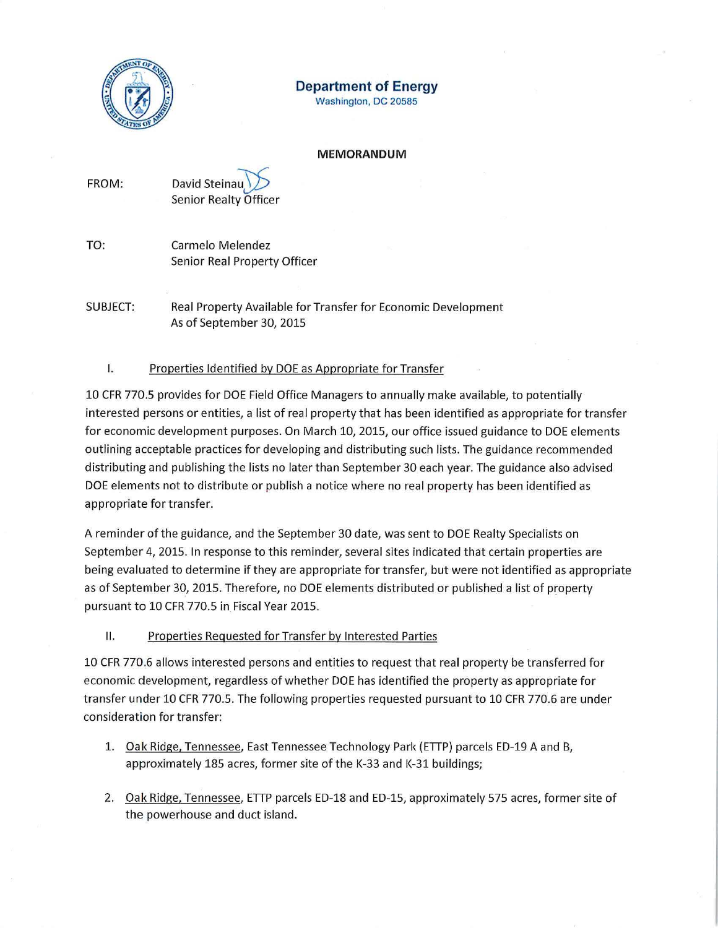

# **Department of Energy**

Washington, DC 20585

#### **MEMORANDUM**

| FROM: | David Steinau                |
|-------|------------------------------|
|       | <b>Senior Realty Officer</b> |

TO: Carmelo Melendez Senior Real Property Officer

SUBJECT: Real Property Available for Transfer for Economic Development As of September 30, 2015

## I. Properties Identified by DOE as Appropriate for Transfer

10 CFR 770.5 provides for DOE Field Office Managers to annually make available, to potentially interested persons or entities, a list of real property that has been identified as appropriate for transfer for economic development purposes. On March 10, 2015, our office issued guidance to DOE elements outlining acceptable practices for developing and distributing such lists. The guidance recommended distributing and publishing the lists no later than September 30 each year. The guidance also advised DOE elements not to distribute or publish a notice where no real property has been identified as appropriate for transfer.

A reminder of the guidance, and the September 30 date, was sent to DOE Realty Specialists on September 4, 2015. In response to this reminder, several sites indicated that certain properties are being evaluated to determine if they are appropriate for transfer, but were not identified as appropriate as of September 30, 2015. Therefore, no DOE elements distributed or published a list of property pursuant to 10 CFR 770.5 in Fiscal Year 2015.

## II. Properties Requested for Transfer by Interested Parties

10 CFR 770.6 allows interested persons and entities to request that real property be transferred for economic development, regardless of whether DOE has identified the property as appropriate for transfer under 10 CFR 770.5. The following properties requested pursuant to 10 CFR 770.6 are under consideration for transfer:

- 1. <u>Oak Ridge, Tennessee</u>, East Tennessee Technology Park (ETTP) parcels ED-19 A and B, approximately 185 acres, former site of the K-33 and K-31 buildings;
- 2. Oak Ridge, Tennessee, ETTP parcels ED-18 and ED-15, approximately 575 acres, former site of the powerhouse and duct island.